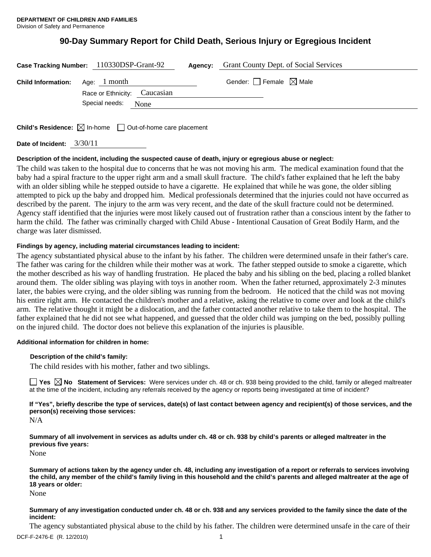# **90-Day Summary Report for Child Death, Serious Injury or Egregious Incident**

| <b>Grant County Dept. of Social Services</b><br>Case Tracking Number: 110330DSP-Grant-92<br>Agency: |                                              |  |                                        |
|-----------------------------------------------------------------------------------------------------|----------------------------------------------|--|----------------------------------------|
| <b>Child Information:</b>                                                                           | Age: 1 month<br>Race or Ethnicity: Caucasian |  | Gender: $\Box$ Female $\boxtimes$ Male |
|                                                                                                     | Special needs: None                          |  |                                        |
| <b>Child's Residence:</b> $\boxtimes$ In-home $\Box$ Out-of-home care placement                     |                                              |  |                                        |

**Date of Incident:** 3/30/11

# **Description of the incident, including the suspected cause of death, injury or egregious abuse or neglect:**

The child was taken to the hospital due to concerns that he was not moving his arm. The medical examination found that the baby had a spiral fracture to the upper right arm and a small skull fracture. The child's father explained that he left the baby with an older sibling while he stepped outside to have a cigarette. He explained that while he was gone, the older sibling attempted to pick up the baby and dropped him. Medical professionals determined that the injuries could not have occurred as described by the parent. The injury to the arm was very recent, and the date of the skull fracture could not be determined. Agency staff identified that the injuries were most likely caused out of frustration rather than a conscious intent by the father to harm the child. The father was criminally charged with Child Abuse - Intentional Causation of Great Bodily Harm, and the charge was later dismissed.

# **Findings by agency, including material circumstances leading to incident:**

The agency substantiated physical abuse to the infant by his father. The children were determined unsafe in their father's care. The father was caring for the children while their mother was at work. The father stepped outside to smoke a cigarette, which the mother described as his way of handling frustration. He placed the baby and his sibling on the bed, placing a rolled blanket around them. The older sibling was playing with toys in another room. When the father returned, approximately 2-3 minutes later, the babies were crying, and the older sibling was running from the bedroom. He noticed that the child was not moving his entire right arm. He contacted the children's mother and a relative, asking the relative to come over and look at the child's arm. The relative thought it might be a dislocation, and the father contacted another relative to take them to the hospital. The father explained that he did not see what happened, and guessed that the older child was jumping on the bed, possibly pulling on the injured child. The doctor does not believe this explanation of the injuries is plausible.

# **Additional information for children in home:**

# **Description of the child's family:**

The child resides with his mother, father and two siblings.

**Yes**  $\boxtimes$  **No** Statement of Services: Were services under ch. 48 or ch. 938 being provided to the child, family or alleged maltreater at the time of the incident, including any referrals received by the agency or reports being investigated at time of incident?

**If "Yes", briefly describe the type of services, date(s) of last contact between agency and recipient(s) of those services, and the person(s) receiving those services:** 

N/A

**Summary of all involvement in services as adults under ch. 48 or ch. 938 by child's parents or alleged maltreater in the previous five years:** 

None

**Summary of actions taken by the agency under ch. 48, including any investigation of a report or referrals to services involving the child, any member of the child's family living in this household and the child's parents and alleged maltreater at the age of 18 years or older:** 

None

# **Summary of any investigation conducted under ch. 48 or ch. 938 and any services provided to the family since the date of the incident:**

The agency substantiated physical abuse to the child by his father. The children were determined unsafe in the care of their